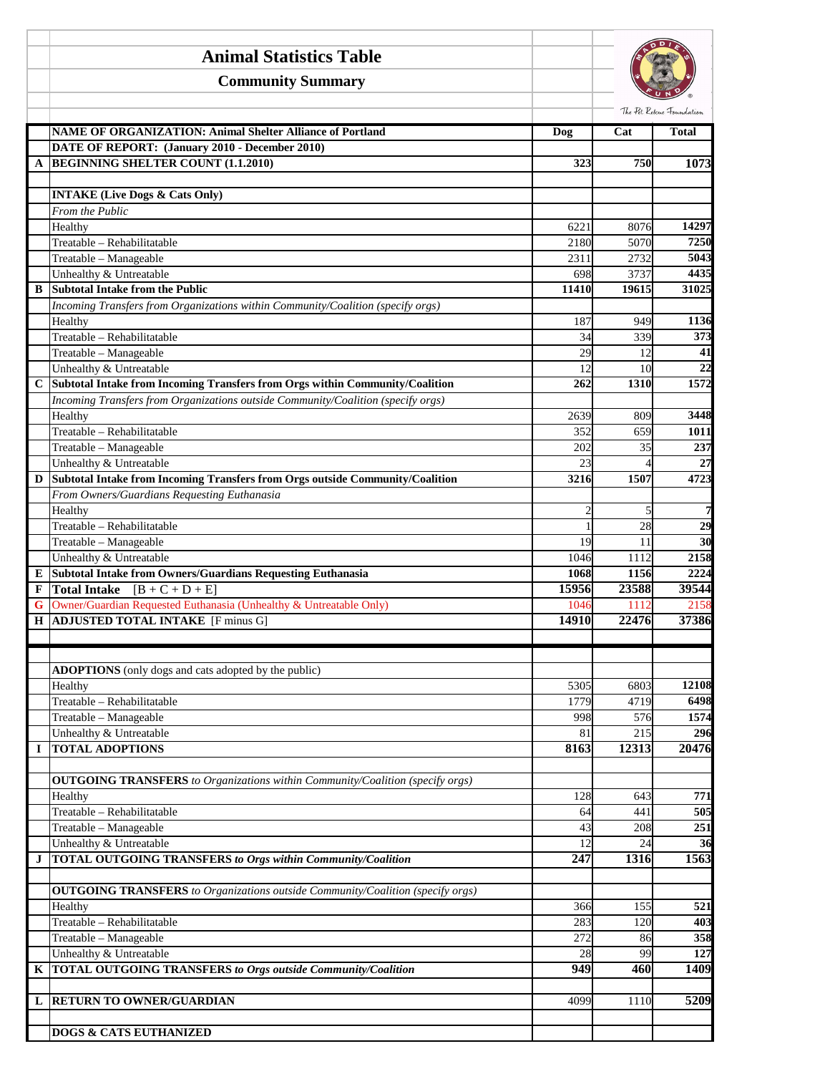|             | <b>Animal Statistics Table</b>                                                        |                |                |                                           |
|-------------|---------------------------------------------------------------------------------------|----------------|----------------|-------------------------------------------|
|             | <b>Community Summary</b>                                                              |                |                |                                           |
|             | <b>NAME OF ORGANIZATION: Animal Shelter Alliance of Portland</b>                      | Dog            | Cat            | The Pet Rescue Foundation<br><b>Total</b> |
|             | DATE OF REPORT: (January 2010 - December 2010)                                        |                |                |                                           |
| A           | <b>BEGINNING SHELTER COUNT (1.1.2010)</b>                                             | 323            | 750            | 1073                                      |
|             |                                                                                       |                |                |                                           |
|             | <b>INTAKE (Live Dogs &amp; Cats Only)</b>                                             |                |                |                                           |
|             | From the Public                                                                       |                |                |                                           |
|             | Healthy                                                                               | 6221           | 8076           | 14297                                     |
|             | Treatable - Rehabilitatable                                                           | 2180           | 5070           | 7250                                      |
|             | Treatable - Manageable                                                                | 2311           | 2732           | 5043                                      |
|             | Unhealthy & Untreatable<br><b>Subtotal Intake from the Public</b>                     | 698            | 3737           | 4435                                      |
| B           | Incoming Transfers from Organizations within Community/Coalition (specify orgs)       | 11410          | 19615          | 31025                                     |
|             | Healthy                                                                               | 187            | 949            | 1136                                      |
|             | Treatable - Rehabilitatable                                                           | 34             | 339            | $\overline{373}$                          |
|             | Treatable - Manageable                                                                | 29             | 12             | 41                                        |
|             | Unhealthy & Untreatable                                                               | 12             | 10             | 22                                        |
| $\mathbf C$ | Subtotal Intake from Incoming Transfers from Orgs within Community/Coalition          | 262            | 1310           | 1572                                      |
|             | Incoming Transfers from Organizations outside Community/Coalition (specify orgs)      |                |                |                                           |
|             | Healthy                                                                               | 2639           | 809            | 3448                                      |
|             | Treatable - Rehabilitatable                                                           | 352            | 659            | 1011                                      |
|             | Treatable - Manageable                                                                | 202            | 35             | 237                                       |
|             | Unhealthy & Untreatable                                                               | 23             | $\overline{4}$ | 27                                        |
| D           | Subtotal Intake from Incoming Transfers from Orgs outside Community/Coalition         | 3216           | 1507           | 4723                                      |
|             | From Owners/Guardians Requesting Euthanasia<br>Healthy                                | $\overline{c}$ | 5              | 7                                         |
|             | Treatable - Rehabilitatable                                                           |                | 28             | $\overline{29}$                           |
|             | Treatable - Manageable                                                                | 19             | 11             | 30                                        |
|             | Unhealthy & Untreatable                                                               | 1046           | 1112           | 2158                                      |
| E           | <b>Subtotal Intake from Owners/Guardians Requesting Euthanasia</b>                    | 1068           | 1156           | 2224                                      |
| F           | <b>Total Intake</b> $[B + C + D + E]$                                                 | 15956          | 23588          | 39544                                     |
| G           | Owner/Guardian Requested Euthanasia (Unhealthy & Untreatable Only)                    | 1046           | 1112           | 2158                                      |
| Н           | <b>ADJUSTED TOTAL INTAKE</b> [F minus G]                                              | 14910          | 22476          | 37386                                     |
|             |                                                                                       |                |                |                                           |
|             |                                                                                       |                |                |                                           |
|             | ADOPTIONS (only dogs and cats adopted by the public)                                  |                |                |                                           |
|             | Healthy<br>Treatable - Rehabilitatable                                                | 5305<br>1779   | 6803<br>4719   | 12108<br>6498                             |
|             | Treatable - Manageable                                                                | 998            | 576            | 1574                                      |
|             | Unhealthy & Untreatable                                                               | 81             | 215            | 296                                       |
| I           | <b>TOTAL ADOPTIONS</b>                                                                | 8163           | 12313          | 20476                                     |
|             |                                                                                       |                |                |                                           |
|             | <b>OUTGOING TRANSFERS</b> to Organizations within Community/Coalition (specify orgs)  |                |                |                                           |
|             | Healthy                                                                               | 128            | 643            | 771                                       |
|             | Treatable - Rehabilitatable                                                           | 64             | 441            | 505                                       |
|             | Treatable - Manageable                                                                | 43             | 208            | 251                                       |
|             | Unhealthy & Untreatable                                                               | 12             | 24             | 36                                        |
| J           | <b>TOTAL OUTGOING TRANSFERS to Orgs within Community/Coalition</b>                    | 247            | 1316           | 1563                                      |
|             | <b>OUTGOING TRANSFERS</b> to Organizations outside Community/Coalition (specify orgs) |                |                |                                           |
|             | Healthy                                                                               | 366            | 155            | 521                                       |
|             | Treatable - Rehabilitatable                                                           | 283            | 120            | 403                                       |
|             | Treatable - Manageable                                                                | 272            | 86             | 358                                       |
|             | Unhealthy & Untreatable                                                               | 28             | 99             | 127                                       |
| K           | <b>TOTAL OUTGOING TRANSFERS to Orgs outside Community/Coalition</b>                   | 949            | 460            | 1409                                      |
|             |                                                                                       |                |                |                                           |
| L           | <b>RETURN TO OWNER/GUARDIAN</b>                                                       | 4099           | 1110           | 5209                                      |
|             |                                                                                       |                |                |                                           |
|             | <b>DOGS &amp; CATS EUTHANIZED</b>                                                     |                |                |                                           |